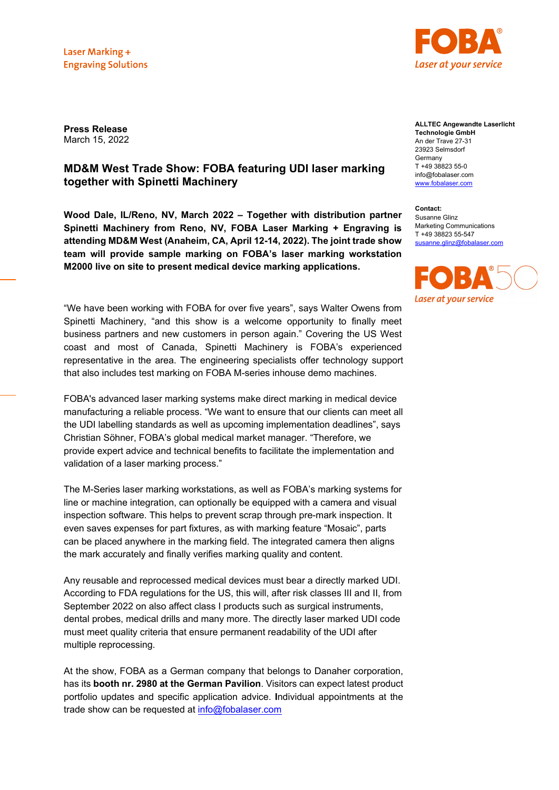Laser Marking + **Engraving Solutions** 



**Press Release** March 15, 2022

# **MD&M West Trade Show: FOBA featuring UDI laser marking together with Spinetti Machinery**

**Wood Dale, IL/Reno, NV, March 2022 – Together with distribution partner Spinetti Machinery from Reno, NV, FOBA Laser Marking + Engraving is attending MD&M West (Anaheim, CA, April 12-14, 2022). The joint trade show team will provide sample marking on FOBA's laser marking workstation M2000 live on site to present medical device marking applications.**

"We have been working with FOBA for over five years", says Walter Owens from Spinetti Machinery, "and this show is a welcome opportunity to finally meet business partners and new customers in person again." Covering the US West coast and most of Canada, Spinetti Machinery is FOBA's experienced representative in the area. The engineering specialists offer technology support that also includes test marking on FOBA M-series inhouse demo machines.

FOBA's advanced laser marking systems make direct marking in medical device manufacturing a reliable process. "We want to ensure that our clients can meet all the UDI labelling standards as well as upcoming implementation deadlines", says Christian Söhner, FOBA's global medical market manager. "Therefore, we provide expert advice and technical benefits to facilitate the implementation and validation of a laser marking process."

The M-Series laser marking workstations, as well as FOBA's marking systems for line or machine integration, can optionally be equipped with a camera and visual inspection software. This helps to prevent scrap through pre-mark inspection. It even saves expenses for part fixtures, as with marking feature "Mosaic", parts can be placed anywhere in the marking field. The integrated camera then aligns the mark accurately and finally verifies marking quality and content.

Any reusable and reprocessed medical devices must bear a directly marked UDI. According to FDA regulations for the US, this will, after risk classes III and II, from September 2022 on also affect class I products such as surgical instruments, dental probes, medical drills and many more. The directly laser marked UDI code must meet quality criteria that ensure permanent readability of the UDI after multiple reprocessing.

At the show, FOBA as a German company that belongs to Danaher corporation, has its **booth nr. 2980 at the German Pavilion**. Visitors can expect latest product portfolio updates and specific application advice. **I**ndividual appointments at the trade show can be requested at [info@fobalaser.com](mailto:info@fobalaser.com)

**ALLTEC Angewandte Laserlicht Technologie GmbH** An der Trave 27-31 23923 Selmsdorf Germany T +49 38823 55-0 info@fobalaser.com [www.fobalaser.com](http://www.fobalaser.com/)

**Contact:** Susanne Glinz Marketing Communications T +49 38823 55-547 [susanne.glinz@fobalaser.com](mailto:susanne.glinz@fobalaser.com)

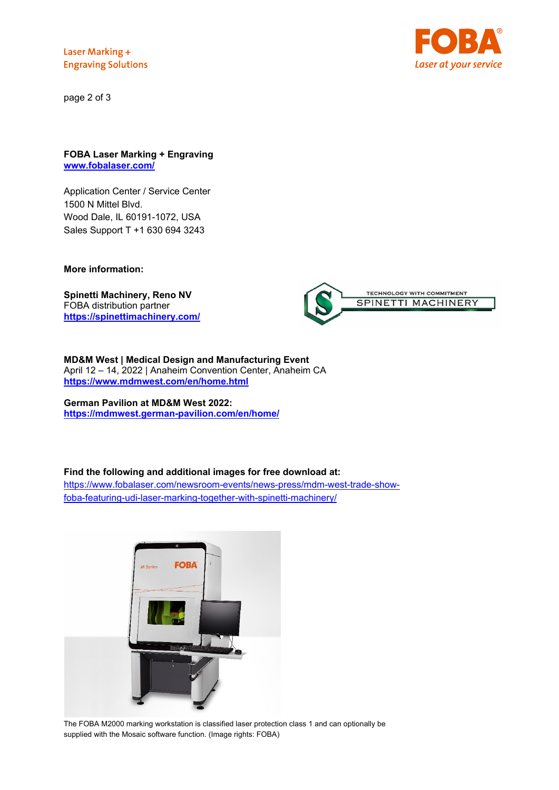Laser Marking + **Engraving Solutions** 

page 2 of 3



### **FOBA Laser Marking + Engraving [www.fobalaser.com/](http://www.fobalaser.com/)**

Application Center / Service Center 1500 N Mittel Blvd. Wood Dale, IL 60191-1072, USA Sales Support T +1 630 694 3243

## **More information:**

**Spinetti Machinery, Reno NV** FOBA distribution partner **<https://spinettimachinery.com/>**



#### **MD&M West | Medical Design and Manufacturing Event** April 12 – 14, 2022 | Anaheim Convention Center, Anaheim CA **<https://www.mdmwest.com/en/home.html>**

### **German Pavilion at MD&M West 2022: <https://mdmwest.german-pavilion.com/en/home/>**

## **Find the following and additional images for free download at:**

[https://www.fobalaser.com/newsroom-events/news-press/mdm-west-trade-show](https://www.fobalaser.com/newsroom-events/news-press/mdm-west-trade-show-foba-featuring-udi-laser-marking-together-with-spinetti-machinery/)[foba-featuring-udi-laser-marking-together-with-spinetti-machinery/](https://www.fobalaser.com/newsroom-events/news-press/mdm-west-trade-show-foba-featuring-udi-laser-marking-together-with-spinetti-machinery/)



The FOBA M2000 marking workstation is classified laser protection class 1 and can optionally be supplied with the Mosaic software function. (Image rights: FOBA)